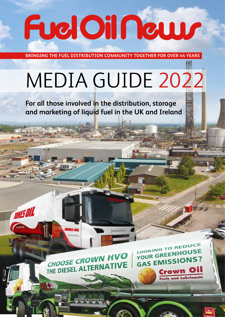# FuelOilNews

**BRINGING THE FUEL DISTRIBUTION COMMUNITY TOGETHER FOR OVER 44 YEARS**

## MEDIA GUIDE 2022

jonesoil.ie

**For all those involved in the distribution, storage and marketing of liquid fuel in the UK and Ireland**



**ONES DII** 

nesoil ie

**TONES OIL** 

LOOKING TO REDUCE **LOOKING TO NHOUSE** YOUR GALLISSIONS? Crown Oil

**Fuels and Lubricants** 

TT

ு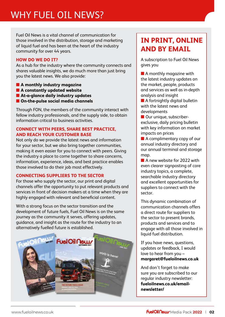Fuel Oil News is a vital channel of communication for those involved in the distribution, storage and marketing of liquid fuel and has been at the heart of the industry community for over 44 years.

#### **HOW DO WE DO IT?**

As a hub for the industry where the community connects and shares valuable insights, we do much more than just bring you the latest news. We also provide:

- **A monthly industry magazine**
- **A constantly updated website**
- **At-a-glance daily industry updates**
- **On-the-pulse social media channels**

Through FON, the members of the community interact with fellow industry professionals, and the supply side, to obtain information critical to business activities.

#### **CONNECT WITH PEERS, SHARE BEST PRACTICE, AND REACH YOUR CUSTOMER BASE**

Not only do we provide the latest news and information for your sector, but we also bring together communities, making it even easier for you to connect with peers. Giving the industry a place to come together to share concerns, information, experience, ideas, and best practice enables those involved to do their job most effectively.

#### **CONNECTING SUPPLIERS TO THE SECTOR**

For those who supply the sector, our print and digital channels offer the opportunity to put relevant products and services in front of decision makers at a time when they are highly engaged with relevant and beneficial content.

With a strong focus on the sector transition and the development of future fuels, Fuel Oil News is on the same journey as the community it serves, offering updates, guidance, and insight as the route for the industry to an alternatively fuelled future is established.



### **IN PRINT, ONLINE AND BY EMAIL**

A subscription to Fuel Oil News gives you

■ A monthly magazine with the latest industry updates on the market, people, products and services as well as in-depth analysis and insight

■ A fortnightly digital bulletin with the latest news and developments

■ Our unique, subscriberexclusive, daily pricing bulletin with key information on market impacts on prices

■ A complimentary copy of our annual industry directory and our annual terminal and storage map.

■ A new website for 2022 with even clearer signposting of core industry topics, a complete, searchable industry directory and excellent opportunities for suppliers to connect with the sector.

This dynamic combination of communication channels offers a direct route for suppliers to the sector to present brands, products and services and to engage with all those involved in liquid fuel distribution.

If you have news, questions, updates or feedback, I would love to hear from you – **margaret@fueloilnews.co.uk**

And don't forget to make sure you are subscribed to our regular industry newsletter: **fueloilnews.co.uk/emailnewsletter/**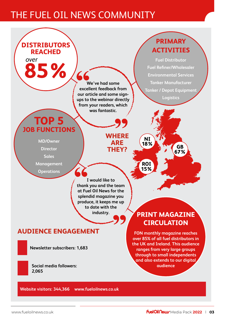## THE FUEL OIL NEWS COMMUNITY



**Website visitors: 344,366 www.fueloilnews.co.uk**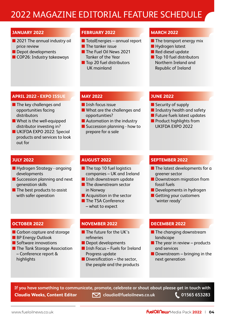## 2022 MAGAZINE EDITORIAL FEATURE SCHEDULE

#### **JANUARY 2022**

- 2021 The annual industry oil price review
- Depot developments
- COP26: Industry takeaways

#### **FEBRUARY 2022**

- TotalEnergies annual report
- The tanker issue
- The Fuel Oil News 2021 Tanker of the Year
- Top 20 fuel distributors UK mainland

#### **MARCH 2022**

- The transport energy mix
- Hydrogen latest
- Red diesel update
- Top 10 fuel distributors Northern Ireland and Republic of Ireland

#### **APRIL 2022 - EXPO ISSUE**

- The key challenges and opportunities facing distributors
- What is the well-equipped distributor investing in?
- UKIFDA EXPO 2022: Special products and services to look out for

#### **MAY 2022**

- Irish focus issue
- What are the challenges and opportunities?
- Automation in the industry
- Succession planning how to prepare for a sale

#### **JUNE 2022**

- Security of supply
- Industry health and safety
- Future fuels latest updates
- Product highlights from UKIFDA EXPO 2022

#### **JULY 2022**

- Hydrogen Strategy ongoing developments
- Succession planning and next generation skills
- The best products to assist with safer operation

#### **AUGUST 2022**

- The top 10 fuel logistics companies – UK and Ireland
- Irish downstream update
- The downstream sector in Norway
- Acquisition in the sector
- The TSA Conference
- what to expect

#### **OCTOBER 2022**

- Carbon capture and storage
- BP Energy Outlook
- Software innovations
- The Tank Storage Association – Conference report & highlights

#### **NOVEMBER 2022**

- The future for the UK's refineries
- Depot developments
- Irish Focus Fuels for Ireland Progress update
- $\blacksquare$  Diversification the sector, the people and the products

#### **SEPTEMBER 2022**

- The latest developments for a greener sector
- Downstream migration from fossil fuels
- Developments in hydrogen
- Getting your customers 'winter ready'

#### **DECEMBER 2022**

- The changing downstream landscape
- $\blacksquare$  The year in review products and services
- Downstream bringing in the next generation

**If you have something to communicate, promote, celebrate or shout about please get in touch with Claudia Weeks, Content Editor Claudia@fueloilnews.co.uk** 1565 653283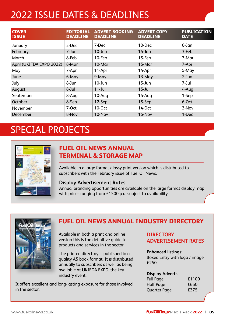## 2022 ISSUE DATES & DEADLINES

| <b>COVER</b><br><b>ISSUE</b> | <b>EDITORIAL</b><br><b>DEADLINE</b> | <b>ADVERT BOOKING</b><br><b>DEADLINE</b> | <b>ADVERT COPY</b><br><b>DEADLINE</b> | <b>PUBLICATION</b><br><b>DATE</b> |
|------------------------------|-------------------------------------|------------------------------------------|---------------------------------------|-----------------------------------|
| January                      | 3-Dec                               | 7-Dec                                    | 10-Dec                                | 6-Jan                             |
| February                     | $7 - Jan$                           | $10$ -Jan                                | $14$ -Jan                             | 3-Feb                             |
| March                        | 8-Feb                               | 10-Feb                                   | 15-Feb                                | 3-Mar                             |
| April (UKIFDA EXPO 2022)     | 8-Mar                               | $10$ -Mar                                | $15$ -Mar                             | 7-Apr                             |
| May                          | 7-Apr                               | 11-Apr                                   | 14-Apr                                | 5-May                             |
| June                         | 6-May                               | 9-May                                    | $13$ -May                             | $2$ -Jun                          |
| July                         | 8-Jun                               | $10 - Jun$                               | $15$ -Jun                             | 7-Jul                             |
| August                       | 8-Jul                               | $11 -$ Jul                               | $15$ -Jul                             | 4-Aug                             |
| September                    | 8-Aug                               | 10-Aug                                   | 15-Aug                                | 1-Sep                             |
| October                      | 8-Sep                               | 12-Sep                                   | 15-Sep                                | 6-Oct                             |
| November                     | $7-0ct$                             | 10-0ct                                   | 14-Oct                                | 3-Nov                             |
| December                     | 8-Nov                               | 10-Nov                                   | 15-Nov                                | 1-Dec                             |

## SPECIAL PROJECTS



#### **FUEL OIL NEWS ANNUAL TERMINAL & STORAGE MAP**

Available in a large format glossy print version which is distributed to subscribers with the February issue of Fuel Oil News.

#### **Display Advertisement Rates**

Annual branding opportunities are available on the large format display map with prices ranging from £1500 p.a. subject to availability



#### **FUEL OIL NEWS ANNUAL INDUSTRY DIRECTORY**

Available in both a print and online version this is the definitive guide to products and services in the sector.

The printed directory is published in a quality A5 book format. It is distributed annually to subscribers as well as being available at UKIFDA EXPO, the key industry event.

It offers excellent and long-lasting exposure for those involved in the sector.

#### **DIRECTORY ADVERTISEMENT RATES**

#### **Enhanced listings:**

Boxed Entry with logo / image  $£250$ 

#### **Display Adverts**

| £1100 |
|-------|
| £650  |
| £375  |
|       |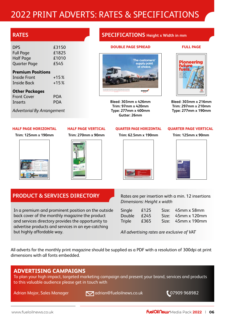## 2022 PRINT ADVERTS: RATES & SPECIFICATIONS

#### **RATES**

| DPS.                | £3150 |
|---------------------|-------|
| <b>Full Page</b>    | £1825 |
| Half Page           | £1010 |
| <b>Quarter Page</b> | £545  |
|                     |       |

#### **Premium Positions**

| <b>Inside Front</b> | $+15%$ |
|---------------------|--------|
| <b>Inside Back</b>  | $+15%$ |

#### **Other Packages**

| <b>Front Cover</b> | <b>POA</b> |
|--------------------|------------|
| Inserts            | <b>POA</b> |

*Advertorial By Arrangement*

#### **HALF PAGE VERTICAL Trim: 270mm x 90mm**

#### **Trim: 125mm x 190mm**

**HALF PAGE HORIZONTAL**



#### **SPECIFICATIONS Height x Width in mm**

#### **DOUBLE PAGE SPREAD**

#### **FULL PAGE**



**Bleed: 303mm x 426mm Trim: 97mm x 420mm Type: 277mm x 400mm Gutter: 26mm**



**Bleed: 303mm x 216mm Trim: 297mm x 210mm Type: 277mm x 190mm**

#### **QUARTER PAGE HORIZONTAL**

**Trim: 62.5mm x 190mm**



#### **QUARTER PAGE VERTICAL**

**Trim: 125mm x 90mm**



#### **PRODUCT & SERVICES DIRECTORY**

In a premium and prominent position on the outside back cover of the monthly magazine the product and services directory provides the opportunity to advertise products and services in an eye-catching but highly affordable way.

Rates are per insertion with a min. 12 insertions *Dimensions: Height x width* 

| Single | £125 | Size: 45mm x 58mm  |
|--------|------|--------------------|
| Double | £245 | Size: 45mm x 120mm |
| Triple | £365 | Size: 45mm x 190mm |

*All advertising rates are exclusive of VAT*

All adverts for the monthly print magazine should be supplied as a PDF with a resolution of 300dpi at print dimensions with all fonts embedded.

#### **ADVERTISING CAMPAIGNS**

To plan your high impact, targeted marketing campaign and present your brand, services and products to this valuable audience please get in touch with

Adrian Major, Sales Manager **Interpretate adrian@fueloilnews.co.uk** 07909 968982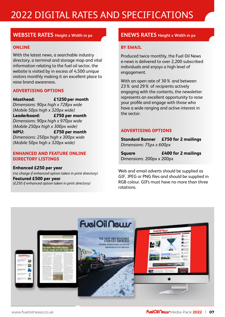## 2022 DIGITAL RATES AND SPECIFICATIONS

#### **WEBSITE RATES Height x Width in px ENEWS RATES Height x Width in px**

#### **ONLINE**

With the latest news, a searchable industry directory, a terminal and storage map and vital information relating to the fuel oil sector, the website is visited by in excess of 4,500 unique visitors monthly making it an excellent place to raise brand awareness.

#### **ADVERTISING OPTIONS**

**Masthead: £1250 per month** *Dimensions: 90px high x 728px wide (Mobile 50px high x 320px wide)* **Leaderboard: £750 per month**  *Dimensions: 90px high x 970px wide (Mobile 250px high x 300px wide)* **MPU: £750 per month**  *Dimensions: 250px high x 300px wide (Mobile 50px high x 320px wide)*

#### **ENHANCED AND FEATURE ONLINE DIRECTORY LISTINGS**

**Enhanced £250 per year** *(no charge if enhanced option taken in print directory)*  **Featured £500 per year**  *(£250 if enhanced option taken in print directory)*

#### **BY EMAIL**

Produced twice monthly, the Fuel Oil News e-news is delivered to over 2,200 subscribed individuals and enjoys a high level of engagement.

With an open rate of 30% and between 23% and 29% of recipients actively engaging with the contents, the newsletter represents an excellent opportunity to raise your profile and engage with those who have a wide ranging and active interest in the sector.

#### **ADVERTISING OPTIONS**

**Standard Banner £750 for 2 mailings** *Dimensions: 75px x 600px*

**Square £400 for 2 mailings** Dimensions*:* 200px x 200px

Web and email adverts should be supplied as GIF, JPEG or PNG files and should be supplied in RGB colour. GIFs must have no more than three rotations.

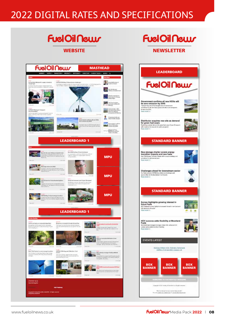## 2022 DIGITAL RATES AND SPECIFICATIONS

### FuelOilNeuur WEBSITE NEWSLETTER

## **FuelOil Neuv**



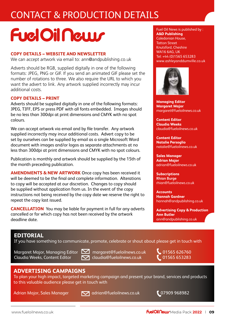## CONTACT & PRODUCTION DETAILS

## **FuelOil Neuvr**

#### **COPY DETAILS – WEBSITE AND NEWSLETTER**

We can accept artwork via email to: ann@andpublishing.co.uk

Adverts should be RGB, supplied digitally in one of the following formats: JPEG, PNG or GIF. If you send an animated GIF please set the number of rotations to three. We also require the URL to which you want the advert to link. Any artwork supplied incorrectly may incur additional costs.

#### **COPY DETAILS – PRINT**

Adverts should be supplied digitally in one of the following formats: JPEG, TIFF, EPS or press PDF with all fonts embedded. Images should be no less than 300dpi at print dimensions and CMYK with no spot colours.

We can accept artwork via email and by file transfer. Any artwork supplied incorrectly may incur additional costs. Advert copy to be set by ourselves can be supplied by email as a single Microsoft Word document with images and/or logos as separate attachments at no less than 300dpi at print dimensions and CMYK with no spot colours.

Publication is monthly and artwork should be supplied by the 15th of the month preceding publication.

**AMENDMENTS & NEW ARTWORK** Once copy has been received it will be deemed to be the final and complete information. Alterations to copy will be accepted at our discretion. Changes to copy should be supplied without application from us. In the event of the copy instructions not being received by the copy date we reserve the right to repeat the copy last issued.

**CANCELLATION** You may be liable for payment in full for any adverts cancelled or for which copy has not been received by the artwork deadline date.

#### Fuel Oil News is published by : **A&D Publishing** Caledonian House, Tatton Street Knutsford, Cheshire WA16 6AG, UK Tel: +44 (0)1565 653283 www.ashleyanddumville.co.uk



**Managing Editor Margaret Major** margaret@fueloilnews.co.uk

**Content Editor Claudia Weeks** claudia@fueloilnews.co.uk

**Content Editor Natalie Persoglio** natalie@fueloilnews.co.uk

**Sales Manager Adrian Major** adrian@fueloilnews.co.uk

**Subscriptions Rhian Burge** rhian@fueloilnews.co.uk

**Accounts Hannah Gardner** hannah@andpublishing.co.uk

**Advertising Copy & Production Ann Butler** ann@andpublishing.co.uk

#### **EDITORIAL**

If you have something to communicate, promote, celebrate or shout about please get in touch with

Margaret Major, Managing Editor **Managaret@fueloilnews.co.uk** 1565 626760 Claudia Weeks, Content Editor **[19]** claudia@fueloilnews.co.uk **1995 653283** 

#### **ADVERTISING CAMPAIGNS**

To plan your high impact, targeted marketing campaign and present your brand, services and products to this valuable audience please get in touch with

Adrian Major, Sales Manager **1988** adrian@fueloilnews.co.uk **198982** 07909 968982